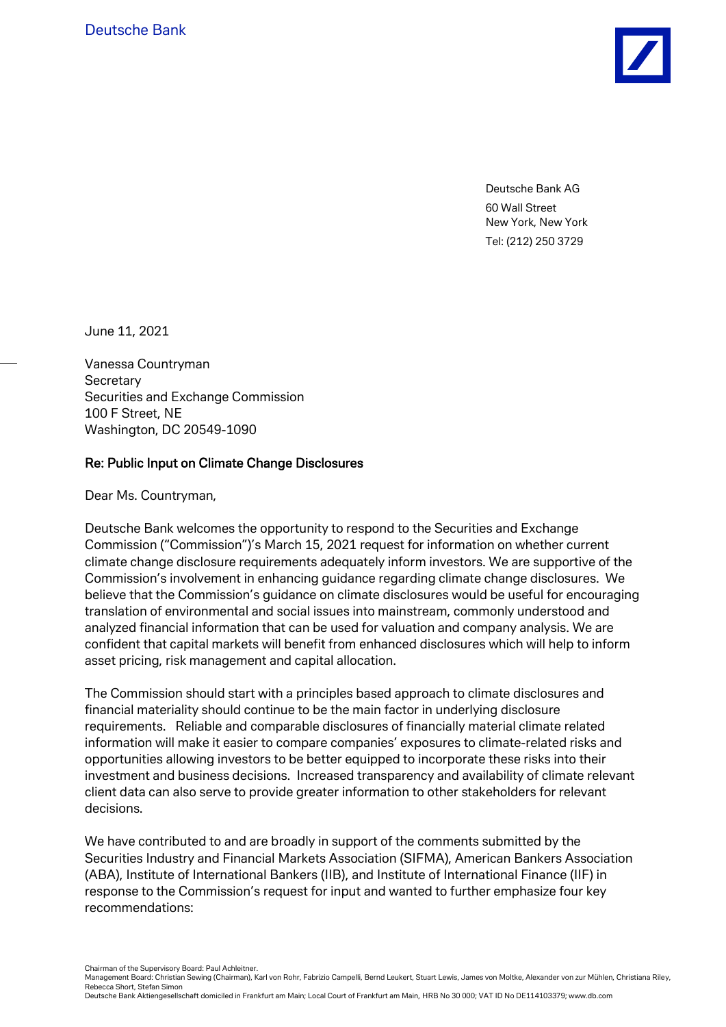Deutsche Bank AG 60 Wall Street New York, New York Tel: (212) 250 3729

June 11, 2021

Vanessa Countryman **Secretary** Securities and Exchange Commission 100 F Street, NE Washington, DC 20549-1090

### Re: Public Input on Climate Change Disclosures

Dear Ms. Countryman,

Deutsche Bank welcomes the opportunity to respond to the Securities and Exchange Commission ("Commission")'s March 15, 2021 request for information on whether current climate change disclosure requirements adequately inform investors. We are supportive of the Commission's involvement in enhancing guidance regarding climate change disclosures. We believe that the Commission's guidance on climate disclosures would be useful for encouraging translation of environmental and social issues into mainstream, commonly understood and analyzed financial information that can be used for valuation and company analysis. We are confident that capital markets will benefit from enhanced disclosures which will help to inform asset pricing, risk management and capital allocation.

The Commission should start with a principles based approach to climate disclosures and financial materiality should continue to be the main factor in underlying disclosure requirements. Reliable and comparable disclosures of financially material climate related information will make it easier to compare companies' exposures to climate-related risks and opportunities allowing investors to be better equipped to incorporate these risks into their investment and business decisions. Increased transparency and availability of climate relevant client data can also serve to provide greater information to other stakeholders for relevant decisions.

We have contributed to and are broadly in support of the comments submitted by the Securities Industry and Financial Markets Association (SIFMA), American Bankers Association (ABA), Institute of International Bankers (IIB), and Institute of International Finance (IIF) in response to the Commission's request for input and wanted to further emphasize four key recommendations:

Chairman of the Supervisory Board: Paul Achleitner.

Management Board: Christian Sewing (Chairman), Karl von Rohr, Fabrizio Campelli, Bernd Leukert, Stuart Lewis, James von Moltke, Alexander von zur Mühlen, Christiana Riley, Rebecca Short, Stefan Simon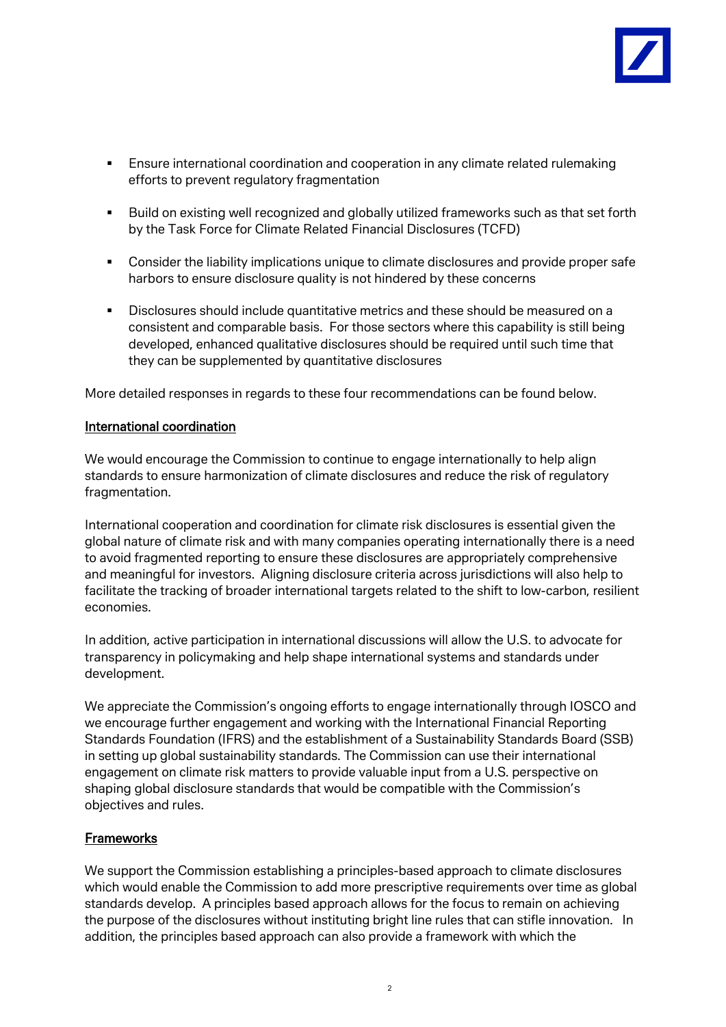

- Ensure international coordination and cooperation in any climate related rulemaking efforts to prevent regulatory fragmentation
- **Build on existing well recognized and globally utilized frameworks such as that set forth** by the Task Force for Climate Related Financial Disclosures (TCFD)
- Consider the liability implications unique to climate disclosures and provide proper safe harbors to ensure disclosure quality is not hindered by these concerns
- Disclosures should include quantitative metrics and these should be measured on a consistent and comparable basis. For those sectors where this capability is still being developed, enhanced qualitative disclosures should be required until such time that they can be supplemented by quantitative disclosures

More detailed responses in regards to these four recommendations can be found below.

#### International coordination

We would encourage the Commission to continue to engage internationally to help align standards to ensure harmonization of climate disclosures and reduce the risk of regulatory fragmentation.

International cooperation and coordination for climate risk disclosures is essential given the global nature of climate risk and with many companies operating internationally there is a need to avoid fragmented reporting to ensure these disclosures are appropriately comprehensive and meaningful for investors. Aligning disclosure criteria across jurisdictions will also help to facilitate the tracking of broader international targets related to the shift to low-carbon, resilient economies.

In addition, active participation in international discussions will allow the U.S. to advocate for transparency in policymaking and help shape international systems and standards under development.

We appreciate the Commission's ongoing efforts to engage internationally through IOSCO and we encourage further engagement and working with the International Financial Reporting Standards Foundation (IFRS) and the establishment of a Sustainability Standards Board (SSB) in setting up global sustainability standards. The Commission can use their international engagement on climate risk matters to provide valuable input from a U.S. perspective on shaping global disclosure standards that would be compatible with the Commission's objectives and rules.

#### **Frameworks**

We support the Commission establishing a principles-based approach to climate disclosures which would enable the Commission to add more prescriptive requirements over time as global standards develop. A principles based approach allows for the focus to remain on achieving the purpose of the disclosures without instituting bright line rules that can stifle innovation. In addition, the principles based approach can also provide a framework with which the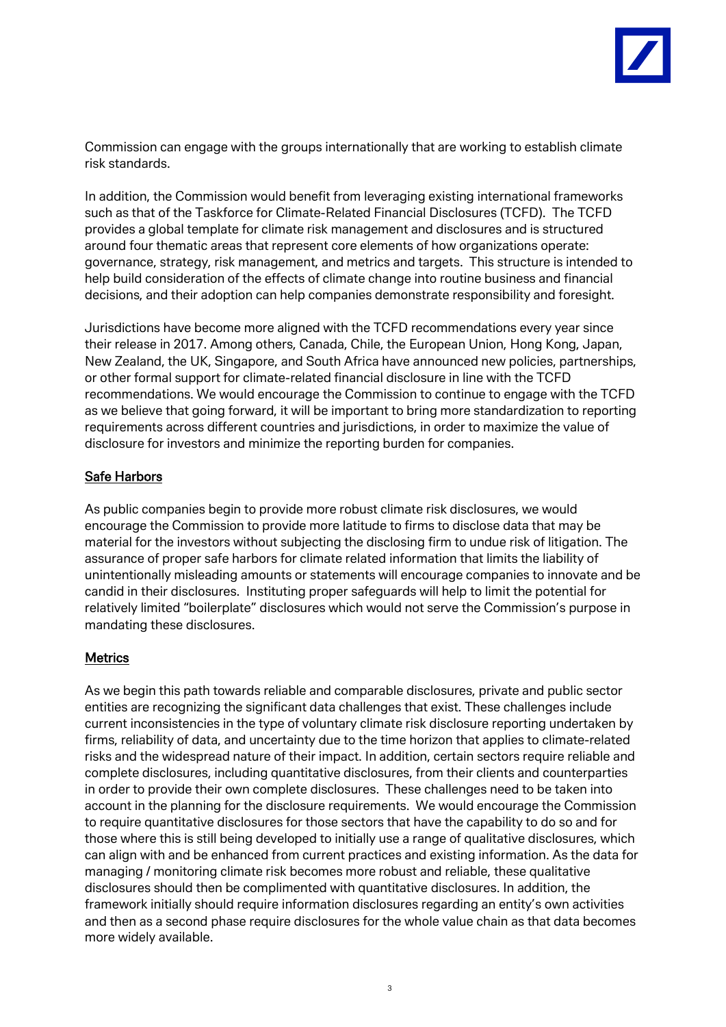

Commission can engage with the groups internationally that are working to establish climate risk standards.

In addition, the Commission would benefit from leveraging existing international frameworks such as that of the Taskforce for Climate-Related Financial Disclosures (TCFD). The TCFD provides a global template for climate risk management and disclosures and is structured around four thematic areas that represent core elements of how organizations operate: governance, strategy, risk management, and metrics and targets. This structure is intended to help build consideration of the effects of climate change into routine business and financial decisions, and their adoption can help companies demonstrate responsibility and foresight.

Jurisdictions have become more aligned with the TCFD recommendations every year since their release in 2017. Among others, Canada, Chile, the European Union, Hong Kong, Japan, New Zealand, the UK, Singapore, and South Africa have announced new policies, partnerships, or other formal support for climate-related financial disclosure in line with the TCFD recommendations. We would encourage the Commission to continue to engage with the TCFD as we believe that going forward, it will be important to bring more standardization to reporting requirements across different countries and jurisdictions, in order to maximize the value of disclosure for investors and minimize the reporting burden for companies.

# Safe Harbors

As public companies begin to provide more robust climate risk disclosures, we would encourage the Commission to provide more latitude to firms to disclose data that may be material for the investors without subjecting the disclosing firm to undue risk of litigation. The assurance of proper safe harbors for climate related information that limits the liability of unintentionally misleading amounts or statements will encourage companies to innovate and be candid in their disclosures. Instituting proper safeguards will help to limit the potential for relatively limited "boilerplate" disclosures which would not serve the Commission's purpose in mandating these disclosures.

## Metrics

As we begin this path towards reliable and comparable disclosures, private and public sector entities are recognizing the significant data challenges that exist. These challenges include current inconsistencies in the type of voluntary climate risk disclosure reporting undertaken by firms, reliability of data, and uncertainty due to the time horizon that applies to climate-related risks and the widespread nature of their impact. In addition, certain sectors require reliable and complete disclosures, including quantitative disclosures, from their clients and counterparties in order to provide their own complete disclosures. These challenges need to be taken into account in the planning for the disclosure requirements. We would encourage the Commission to require quantitative disclosures for those sectors that have the capability to do so and for those where this is still being developed to initially use a range of qualitative disclosures, which can align with and be enhanced from current practices and existing information. As the data for managing / monitoring climate risk becomes more robust and reliable, these qualitative disclosures should then be complimented with quantitative disclosures. In addition, the framework initially should require information disclosures regarding an entity's own activities and then as a second phase require disclosures for the whole value chain as that data becomes more widely available.